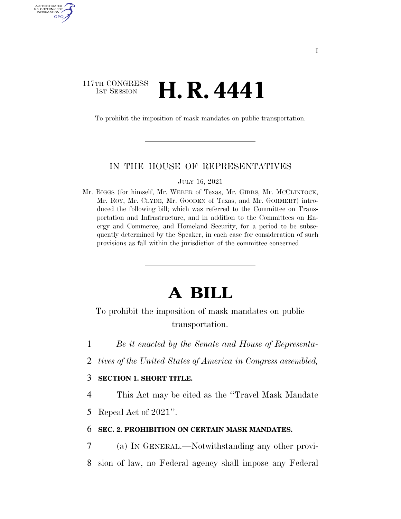# 117TH CONGRESS **1st Session H. R. 4441**

AUTHENTICATED U.S. GOVERNMENT GPO

To prohibit the imposition of mask mandates on public transportation.

### IN THE HOUSE OF REPRESENTATIVES

JULY 16, 2021

Mr. BIGGS (for himself, Mr. WEBER of Texas, Mr. GIBBS, Mr. MCCLINTOCK, Mr. ROY, Mr. CLYDE, Mr. GOODEN of Texas, and Mr. GOHMERT) introduced the following bill; which was referred to the Committee on Transportation and Infrastructure, and in addition to the Committees on Energy and Commerce, and Homeland Security, for a period to be subsequently determined by the Speaker, in each case for consideration of such provisions as fall within the jurisdiction of the committee concerned

# **A BILL**

To prohibit the imposition of mask mandates on public transportation.

- 1 *Be it enacted by the Senate and House of Representa-*
- 2 *tives of the United States of America in Congress assembled,*

## 3 **SECTION 1. SHORT TITLE.**

4 This Act may be cited as the ''Travel Mask Mandate 5 Repeal Act of 2021''.

### 6 **SEC. 2. PROHIBITION ON CERTAIN MASK MANDATES.**

7 (a) IN GENERAL.—Notwithstanding any other provi-8 sion of law, no Federal agency shall impose any Federal